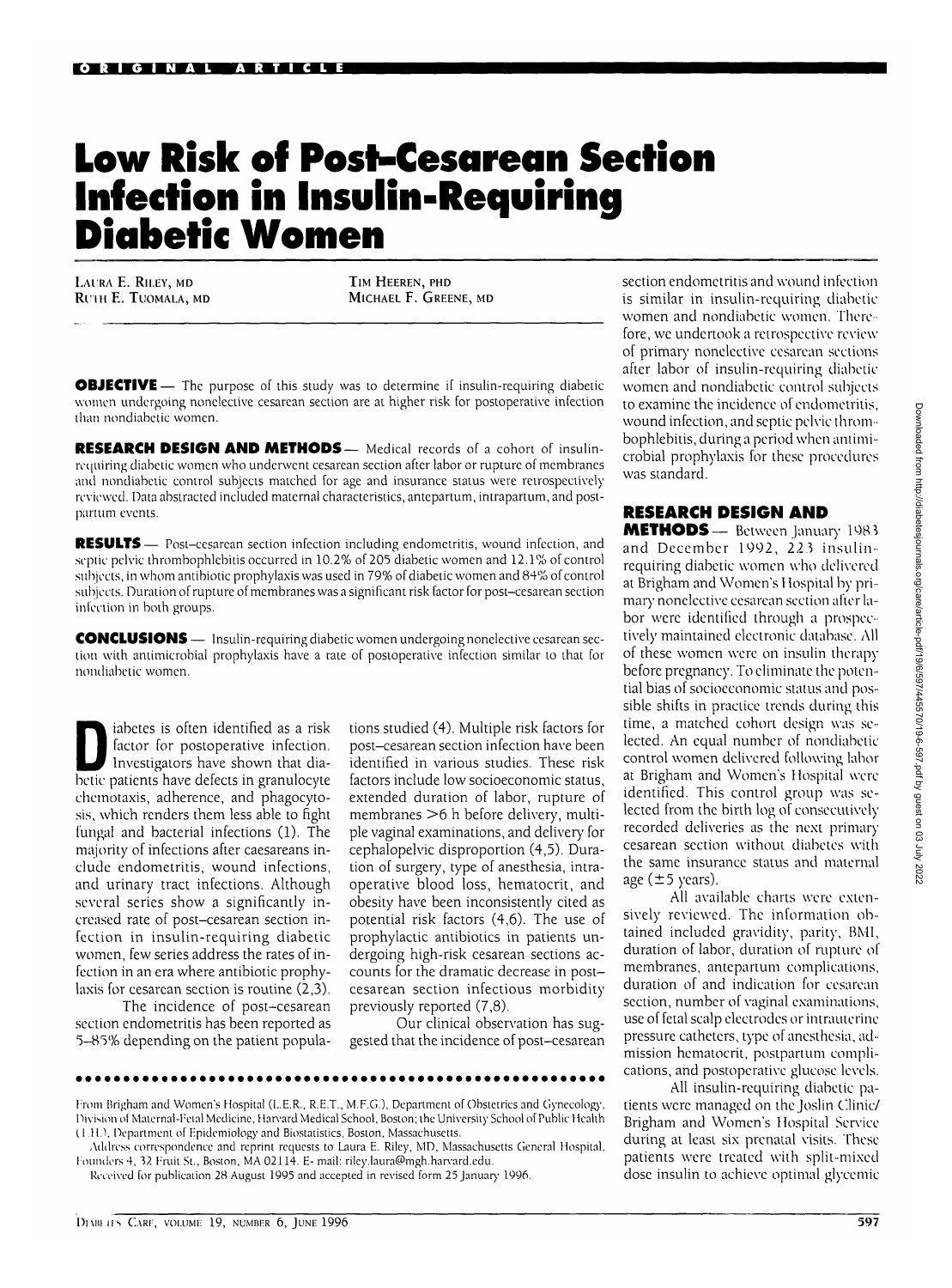## **Low Risk of Post-Cesarean Section Infection in Insulin-Requiring Diabetic Women**

**LAI RA E. RILEY, MD Rl'IH E. TlJOMALA, MD**

TIM HEEREN, PHD MICHAEL F. GREENE, MD

**OBJECTIVE** — The purpose of this study was to determine if insulin-requiring diabetic women undergoing nonelective cesarean section are at higher risk for postoperative infection than nondiabetic women.

**RESEARCH DESIGN AND METHODS—** Medical records of a cohort of insulinrequiring diabetic women who underwent cesarean section after labor or rupture of membranes and nondiabetic control subjects matched for age and insurance status were retrospectively reviewed. Data abstracted included maternal characteristics, antepartum, intrapartum, and postpartum events.

**RESULTS**— Post-cesarean section infection including endometritis, wound infection, and septic pelvic thrombophlebitis occurred in 10.2% of 205 diabetic women and 12.1% of control subjects, in whom antibiotic prophylaxis was used in 79% of diabetic women and 84% of control subjects. Duration of rupture of membranes was a significant risk factor for post-cesarean section infection in both groups.

**CONCLUSIONS** — Insulin-requiring diabetic women undergoing nonelective cesarean section with antimicrobial prophylaxis have a rate of postoperative infection similar to that for nondiabetic women.

Investigators is often identified as a risk<br>
factor for postoperative infection.<br>
Investigators have shown that dia-<br>
betic patients have defects in grapulocute factor for postoperative infection. betic patients have defects in granulocyte chemotaxis, adherence, and phagocytosis, which renders them less able to fight fungal and bacterial infections (1). The majority of infections after caesareans include endometritis, wound infections, and urinary tract infections. Although several series show a significantly increased rate of post-cesarean section infection in insulin-requiring diabetic women, few series address the rates of infection in an era where antibiotic prophylaxis for cesarean section is routine (2,3).

The incidence of post-cesarean section endometritis has been reported as 5-85% depending on the patient populations studied (4). Multiple risk factors for post-cesarean section infection have been identified in various studies. These risk factors include low socioeconomic status, extended duration of labor, rupture of membranes >6 h before delivery, multiple vaginal examinations, and delivery for cephalopelvic disproportion (4,5). Duration of surgery, type of anesthesia, intraoperative blood loss, hematocrit, and obesity have been inconsistently cited as potential risk factors (4,6). The use of prophylactic antibiotics in patients undergoing high-risk cesarean sections accounts for the dramatic decrease in postcesarean section infectious morbidity previously reported (7,8).

Our clinical observation has suggested that the incidence of post-cesarean

From Brigham and Women's Hospital (L.E.R., R.E.T., M.F.G.), Department of Obstetrics and Gynecology, Division of Maternal-Fetal Medicine, Harvard Medical School, Boston; the University School of Public Health (1 H.\ Department of Epidemiology and Biostatistics, Boston, Massachusetts.

Address correspondence and reprint requests to Laura E. Riley, MD, Massachusetts General Hospital, Founders 4, 32 Fruit St., Boston, MA 02114. E- mail: riley.laura@mgh.harvard.edu.

Received for publication 28 August 1995 and accepted in revised form 25 January 1996.

section endometritis and wound infection is similar in insulin-requiring diabetic women and nondiabetic women. Therefore, we undertook a retrospective review of primary nonelective cesarean sections after labor of insulin-requiring diabetic women and nondiabetic control subjects to examine the incidence of endometritis, wound infection, and septic pelvic thrombophlebitis, during a period when antimicrobial prophylaxis for these procedures was standard.

## RESEARCH DESIGN AND

METHODS— Between January 1983 and December 1992, *223* insulinrequiring diabetic women who delivered at Brigham and Women's I lospital by primary nonelective cesarean section alter labor were identified through a prospectively maintained electronic database. All of these women were on insulin therapy before pregnancy. To eliminate the potential bias of socioeconomic status and possible shifts in practice trends during this time, a matched cohort design was selected. An equal number of nondiabetic control women delivered following labor at Brigham and Women's Hospital were identified. This control group was selected from the birth log of consecutively recorded deliveries as the next primary cesarean section without diabetes with the same insurance status and maternal age  $(\pm 5$  years).

All available charts were extensively reviewed. The information obtained included gravidity, parity, BM1, duration of labor, duration of rupture of membranes, antepartum complications, duration of and indication for cesarean section, number of vaginal examinations, use of fetal scalp electrodes or intrauterine pressure catheters, type of anesthesia, admission hematocrit, postpartum complications, and postoperative glucose levels.

All insulin-requiring diabetic patients were managed on the Joslin Clinic/ Brigham and Women's Hospital Service during at least six prenatal visits. These patients were treated with split-mixed dose insulin to achieve optimal glycemic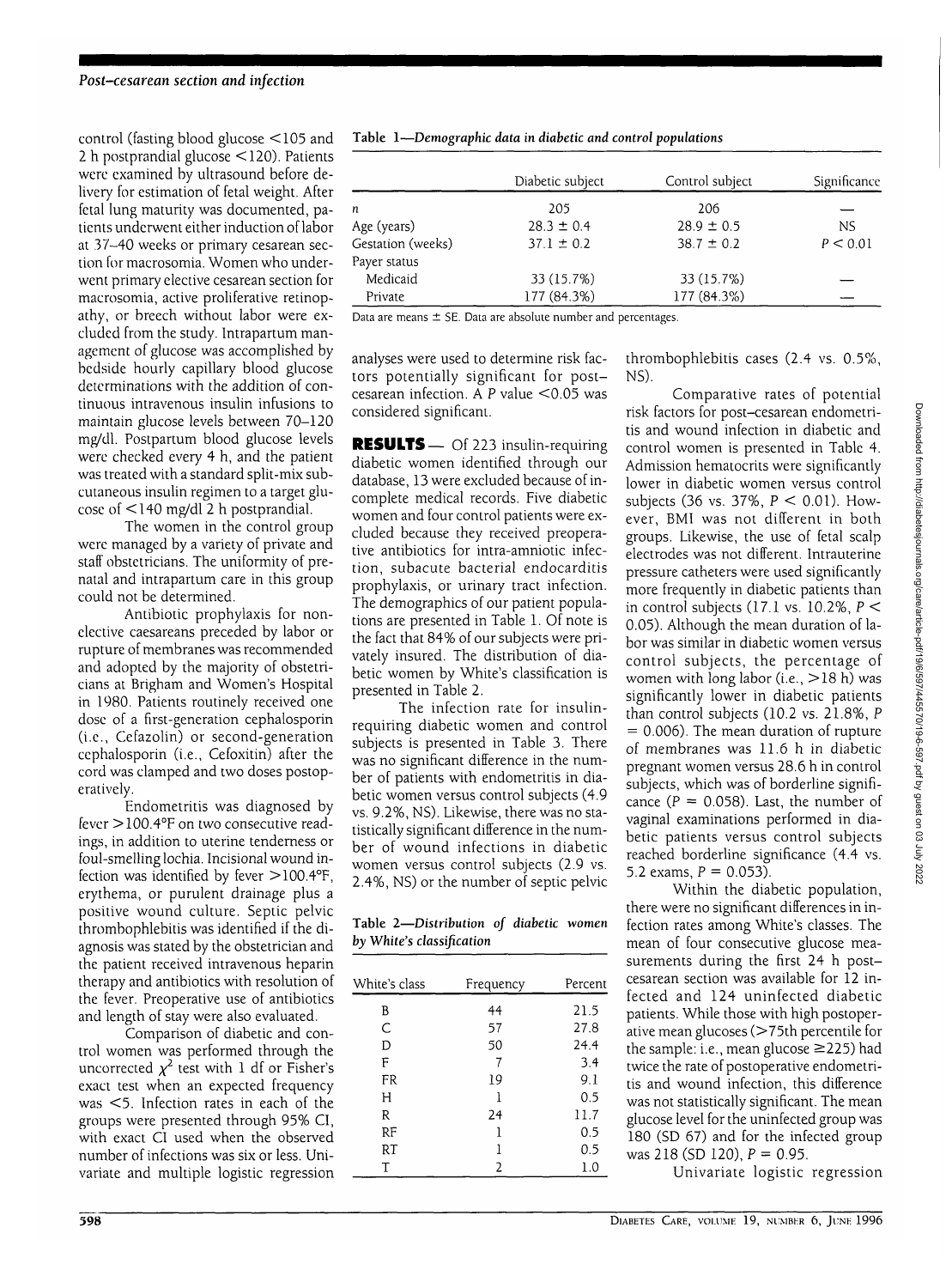control (fasting blood glucose <105 and 2 h postprandial glucose <120). Patients were examined by ultrasound before delivery for estimation of fetal weight. After fetal lung maturity was documented, patients underwent either induction of labor at 37-40 weeks or primary cesarean section for macrosomia. Women who underwent primary elective cesarean section for macrosomia, active proliferative retinopathy, or breech without labor were excluded from the study. Intrapartum management of glucose was accomplished by bedside hourly capillary blood glucose determinations with the addition of continuous intravenous insulin infusions to maintain glucose levels between 70-120 mg/dl. Postpartum blood glucose levels were checked every 4 h, and the patient was treated with a standard split-mix subcutaneous insulin regimen to a target glucose of <140 mg/dl 2 h postprandial.

The women in the control group were managed by a variety of private and staff obstetricians. The uniformity of prenatal and intrapartum care in this group could not be determined.

Antibiotic prophylaxis for nonelective caesareans preceded by labor or rupture of membranes was recommended and adopted by the majority of obstetricians at Brigham and Women's Hospital in 1980. Patients routinely received one dose of a first-generation cephalosporin (i.e., Cefazolin) or second-generation cephalosporin (i.e., Cefoxitin) after the cord was clamped and two doses postoperatively.

Endometritis was diagnosed by fever >100.4°F on two consecutive readings, in addition to uterine tenderness or foul-smelling lochia. Incisional wound infection was identified by fever  $>$  100.4°F, erythema, or purulent drainage plus a positive wound culture. Septic pelvic thrombophlebitis was identified if the diagnosis was stated by the obstetrician and the patient received intravenous heparin therapy and antibiotics with resolution of the fever. Preoperative use of antibiotics and length of stay were also evaluated.

Comparison of diabetic and control women was performed through the uncorrected  $\chi^2$  test with 1 df or Fisher's exact test when an expected frequency was <5. Infection rates in each of the groups were presented through 95% CI, with exact CI used when the observed number of infections was six or less. Univariate and multiple logistic regression

| Table 1-Demographic data in diabetic and control populations |  |  |
|--------------------------------------------------------------|--|--|
|                                                              |  |  |

|                   | Diabetic subject | Control subject | Significance |  |
|-------------------|------------------|-----------------|--------------|--|
| n                 | 205              | 206             |              |  |
| Age (years)       | $28.3 \pm 0.4$   | $28.9 \pm 0.5$  | <b>NS</b>    |  |
| Gestation (weeks) | $37.1 \pm 0.2$   | $38.7 \pm 0.2$  | P < 0.01     |  |
| Payer status      |                  |                 |              |  |
| Medicaid          | 33 (15.7%)       | 33 (15.7%)      |              |  |
| Private           | 177 (84.3%)      | 177 (84.3%)     |              |  |

Data are means  $\pm$  SE. Data are absolute number and percentages.

analyses were used to determine risk factors potentially significant for postcesarean infection. A P value  $<$  0.05 was considered significant.

RESULTS - Of 223 insulin-requiring diabetic women identified through our database, 13 were excluded because of incomplete medical records. Five diabetic women and four control patients were excluded because they received preoperative antibiotics for intra-amniotic infection, subacute bacterial endocarditis prophylaxis, or urinary tract infection. The demographics of our patient populations are presented in Table 1. Of note is the fact that 84% of our subjects were privately insured. The distribution of diabetic women by White's classification is presented in Table 2.

The infection rate for insulinrequiring diabetic women and control subjects is presented in Table 3. There was no significant difference in the number of patients with endometritis in diabetic women versus control subjects (4.9 vs. 9.2%, NS). Likewise, there was no statistically significant difference in the number of wound infections in diabetic women versus control subjects (2.9 vs. 2.4%, NS) or the number of septic pelvic

Table 2—*Distribution of diabetic women by White's classification*

| White's class | Frequency | Percent |
|---------------|-----------|---------|
| B             | 44        | 21.5    |
| C             | 57        | 27.8    |
| D             | 50        | 24.4    |
| F             | 7         | 3.4     |
| FR            | 19        | 9.1     |
| Н             | 1         | 0.5     |
| R             | 24        | 11.7    |
| RF            | 1         | 0.5     |
| RT            |           | 0.5     |
| Τ             | 2         | 1.0     |

thrombophlebitis cases (2.4 vs. 0.5%, NS).

Comparative rates of potential risk factors for post-cesarean endometritis and wound infection in diabetic and control women is presented in Table 4. Admission hematocrits were significantly lower in diabetic women versus control subjects (36 vs. 37%,  $P < 0.01$ ). However, BMI was not different in both groups. Likewise, the use of fetal scalp electrodes was not different. Intrauterine pressure catheters were used significantly more frequently in diabetic patients than in control subjects (17.1 vs. 10.2%,  $P \leq$ 0.05). Although the mean duration of labor was similar in diabetic women versus control subjects, the percentage of women with long labor (i.e.,  $>18$  h) was significantly lower in diabetic patients than control subjects (10.2 vs. 21.8%, P  $= 0.006$ ). The mean duration of rupture of membranes was 11.6 h in diabetic pregnant women versus 28.6 h in control subjects, which was of borderline significance ( $P = 0.058$ ). Last, the number of vaginal examinations performed in diabetic patients versus control subjects reached borderline significance (4.4 vs. 5.2 exams,  $P = 0.053$ .

Within the diabetic population, there were no significant differences in infection rates among White's classes. The mean of four consecutive glucose measurements during the first 24 h postcesarean section was available for 12 infected and 124 uninfected diabetic patients. While those with high postoperative mean glucoses (>75th percentile for the sample: i.e., mean glucose ^225) had twice the rate of postoperative endometritis and wound infection, this difference was not statistically significant. The mean glucose level for the uninfected group was 180 (SD 67) and for the infected group was 218 (SD 120),  $P = 0.95$ .

Univariate logistic regression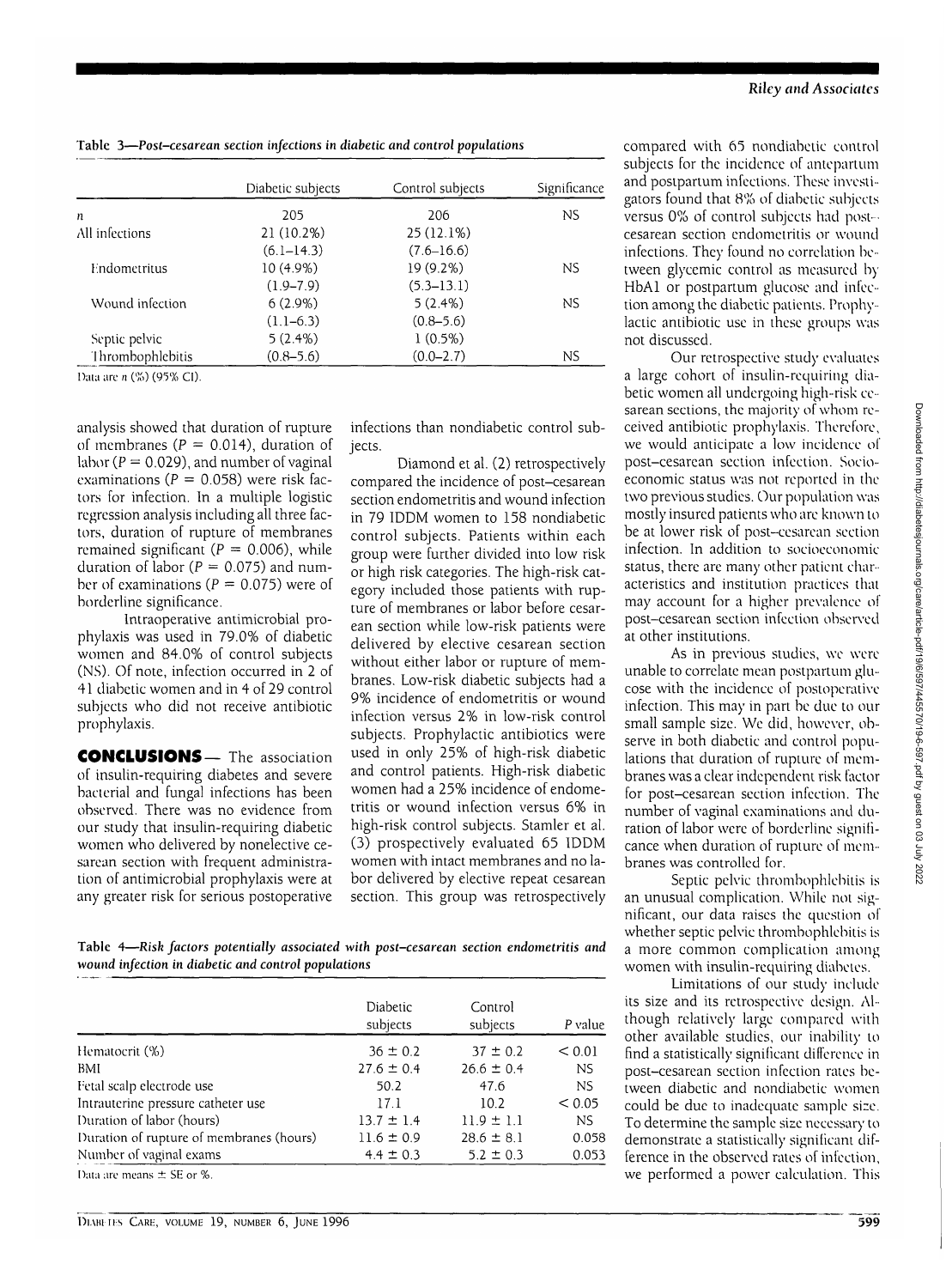|                  | Diabetic subjects | Control subjects | Significance |
|------------------|-------------------|------------------|--------------|
| n                | 205               | 206              | ΝS           |
| All infections   | 21 (10.2%)        | $25(12.1\%)$     |              |
|                  | $(6.1 - 14.3)$    | $(7.6 - 16.6)$   |              |
| Endometritus     | 10 (4.9%)         | 19 (9.2%)        | ΝS           |
|                  | $(1.9 - 7.9)$     | $(5.3 - 13.1)$   |              |
| Wound infection  | $6(2.9\%)$        | 5(2.4%)          | <b>NS</b>    |
|                  | $(1.1-6.3)$       | $(0.8 - 5.6)$    |              |
| Septic pelvic    | 5(2.4%)           | 1(0.5%)          |              |
| Thrombophlebitis | $(0.8 - 5.6)$     | $(0.0 - 2.7)$    | NS.          |

Data arc n (%) (95% CI).

analysis showed that duration of rupture of membranes ( $P = 0.014$ ), duration of labor ( $P = 0.029$ ), and number of vaginal examinations ( $P = 0.058$ ) were risk factors for infection. In a multiple logistic regression analysis including all three factors, duration of rupture of membranes remained significant ( $P = 0.006$ ), while duration of labor ( $P = 0.075$ ) and number of examinations ( $P = 0.075$ ) were of borderline significance.

lntraoperative antimicrobial prophylaxis was used in 79.0% of diabetic women and 84.0% of control subjects (NS). Of note, infection occurred in 2 of 41 diabetic women and in 4 of 29 control subjects who did not receive antibiotic prophylaxis.

CONCLUSIONS— The association of insulin-requiring diabetes and severe bacterial and fungal infections has been observed. There was no evidence from our study that insulin-requiring diabetic women who delivered by nonelective cesarean section with frequent administration of antimicrobial prophylaxis were at any greater risk for serious postoperative

infections than nondiabetic control subjects.

Diamond et al. (2) retrospectively compared the incidence of post-cesarean section endometritis and wound infection in 79 IDDM women to 158 nondiabetic control subjects. Patients within each group were further divided into low risk or high risk categories. The high-risk category included those patients with rupture of membranes or labor before cesarean section while low-risk patients were delivered by elective cesarean section without either labor or rupture of membranes. Low-risk diabetic subjects had a 9% incidence of endometritis or wound infection versus 2% in low-risk control subjects. Prophylactic antibiotics were used in only 25% of high-risk diabetic and control patients. High-risk diabetic women had a 25% incidence of endometritis or wound infection versus 6% in high-risk control subjects. Stamler et al. (3) prospectively evaluated 65 IDDM women with intact membranes and no labor delivered by elective repeat cesarean section. This group was retrospectively compared with 65 nondiabetic control subjects for the incidence of antepartum and postpartum infections. These investigators found that 8% of diabetic subjects versus 0% of control subjects had postcesarean section endometritis or wound infections. They found no correlation between glycemic control as measured by HbAl or postpartum glucose and infection among the diabetic patients. Prophylactic antibiotic use in these groups was not discussed.

Our retrospective study evaluates a large cohort of insulin-requiring diabetic women all undergoing high-risk cesarean sections, the majority of whom received antibiotic prophylaxis. Therefore, we would anticipate a low incidence of post-cesarean section infection. Socioeconomic status was not reported in the two previous studies. Our population was mostly insured patients who are known to be at lower risk of post-cesarean section infection. In addition to soeioeeonomie status, there are many other patient characteristics and institution practices that may account for a higher prevalence of post-cesarean section infection observed at other institutions.

As in previous studies, we were unable to correlate mean postpartum glucose with the incidence of postoperative infection. This may in part be due to our small sample size. We did, however, observe in both diabetic and control populations that duration of rupture of membranes was a clear independent risk factor for post-cesarean section infection. The number of vaginal examinations and duration of labor were of borderline significance when duration of rupture of membranes was controlled for.

Septic pelvic thrombophlebitis is an unusual complication. While not significant, our data raises the question of whether septic pelvic thrombophlebitis is a more common complication among women with insulin-requiring diabetes.

Limitations of our study include its size and its retrospective design. Although relatively large compared with other available studies, our inability to find a statistically significant difference in post-cesarean section infection rates between diabetic and nondiabetic women could be due to inadequate sample size. To determine the sample size necessary to demonstrate a statistically significant difference in the observed rates of infection, we performed a power calculation. This

**Table 4—***Risk factors potentially associated with post-cesarean section endometritis and* **wound** *infection in diabetic and control populations*

|                                          | <b>Diabetic</b><br>subjects | Control<br>subjects | P value |
|------------------------------------------|-----------------------------|---------------------|---------|
| Hematocrit (%)                           | $36 \pm 0.2$                | $37 \pm 0.2$        | < 0.01  |
| BMI                                      | $27.6 \pm 0.4$              | $26.6 \pm 0.4$      | NS      |
| Fetal scalp electrode use                | 50.2                        | 47.6                | NS.     |
| Intrauterine pressure catheter use       | 17.1                        | 10.2                | < 0.05  |
| Duration of labor (hours)                | $13.7 \pm 1.4$              | $11.9 \pm 1.1$      | NS.     |
| Duration of rupture of membranes (hours) | $11.6 \pm 0.9$              | $28.6 \pm 8.1$      | 0.058   |
| Number of vaginal exams                  | $4.4 \pm 0.3$               | $5.2 \pm 0.3$       | 0.053   |
| Data are means $\pm$ SE or %.            |                             |                     |         |